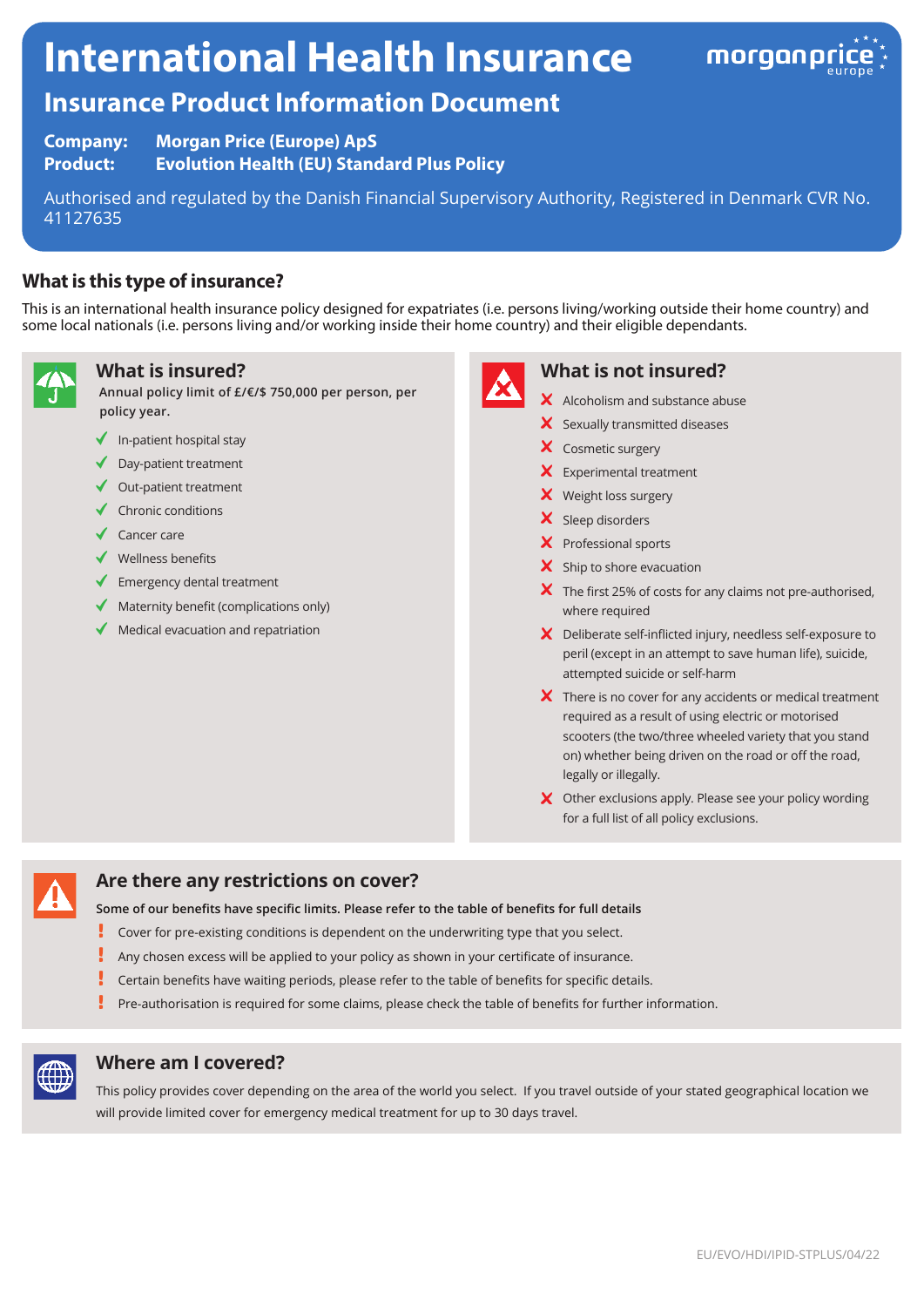# **International Health Insurance**



# **Insurance Product Information Document**

**Company: Morgan Price (Europe) ApS** 

**Product: Evolution Health (EU) Standard Plus Policy**

Authorised and regulated by the Danish Financial Supervisory Authority, Registered in Denmark CVR No. 41127635

## **What is this type of insurance?**

This is an international health insurance policy designed for expatriates (i.e. persons living/working outside their home country) and some local nationals (i.e. persons living and/or working inside their home country) and their eligible dependants.



#### **What is insured?**

**Annual policy limit of £/€/\$ 750,000 per person, per policy year.**

- $\blacklozenge$  In-patient hospital stay
- ◆ Day-patient treatment
- $\triangleleft$  Out-patient treatment
- $\checkmark$  Chronic conditions
- ◆ Cancer care
- $\checkmark$  Wellness benefits
- $\blacklozenge$  Emergency dental treatment
- $\blacklozenge$  Maternity benefit (complications only)
- $\blacklozenge$  Medical evacuation and repatriation



#### **What is not insured?**

- $\boldsymbol{\times}$  Alcoholism and substance abuse
- X Sexually transmitted diseases
- X Cosmetic surgery
- Experimental treatment
- X Weight loss surgery
- X Sleep disorders
- X Professional sports
- $\boldsymbol{\times}$  Ship to shore evacuation
- $\boldsymbol{\times}$  The first 25% of costs for any claims not pre-authorised, where required
- Deliberate self-inflicted injury, needless self-exposure to peril (except in an attempt to save human life), suicide, attempted suicide or self-harm
- $\boldsymbol{\times}$  There is no cover for any accidents or medical treatment required as a result of using electric or motorised scooters (the two/three wheeled variety that you stand on) whether being driven on the road or off the road, legally or illegally.
- X Other exclusions apply. Please see your policy wording for a full list of all policy exclusions.



#### **Are there any restrictions on cover?**

**Some of our benefits have specific limits. Please refer to the table of benefits for full details**

- Į Cover for pre-existing conditions is dependent on the underwriting type that you select.
- I Any chosen excess will be applied to your policy as shown in your certificate of insurance.
- Ţ Certain benefits have waiting periods, please refer to the table of benefits for specific details.
- Pre-authorisation is required for some claims, please check the table of benefits for further information.



#### **Where am I covered?**

This policy provides cover depending on the area of the world you select. If you travel outside of your stated geographical location we will provide limited cover for emergency medical treatment for up to 30 days travel.